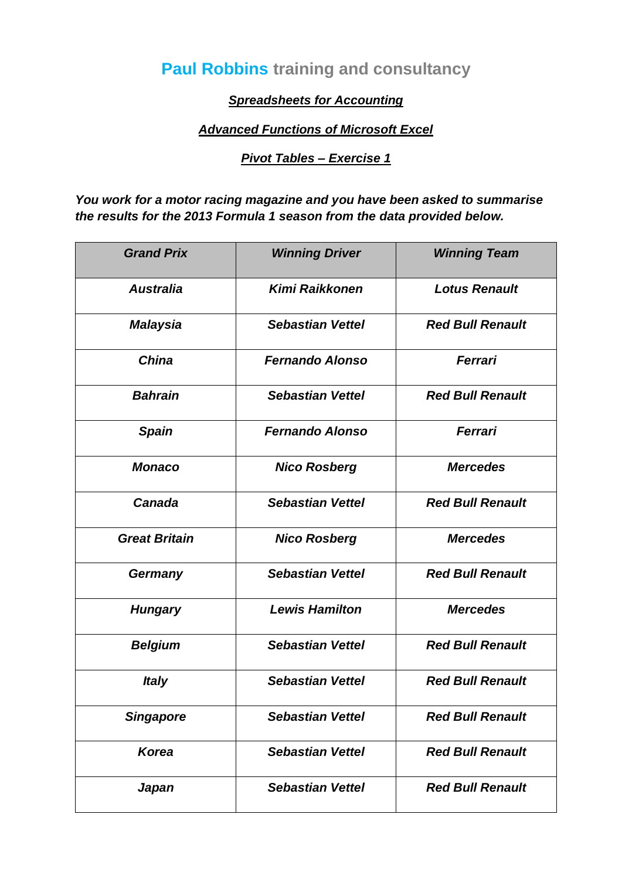# **Paul Robbins training and consultancy**

### *Spreadsheets for Accounting*

#### *Advanced Functions of Microsoft Excel*

#### *Pivot Tables – Exercise 1*

*You work for a motor racing magazine and you have been asked to summarise the results for the 2013 Formula 1 season from the data provided below.*

| <b>Grand Prix</b>    | <b>Winning Driver</b>   | <b>Winning Team</b>     |
|----------------------|-------------------------|-------------------------|
| <b>Australia</b>     | <b>Kimi Raikkonen</b>   | <b>Lotus Renault</b>    |
| <b>Malaysia</b>      | <b>Sebastian Vettel</b> | <b>Red Bull Renault</b> |
| <b>China</b>         | <b>Fernando Alonso</b>  | Ferrari                 |
| <b>Bahrain</b>       | <b>Sebastian Vettel</b> | <b>Red Bull Renault</b> |
| <b>Spain</b>         | <b>Fernando Alonso</b>  | Ferrari                 |
| <b>Monaco</b>        | <b>Nico Rosberg</b>     | <b>Mercedes</b>         |
| Canada               | <b>Sebastian Vettel</b> | <b>Red Bull Renault</b> |
| <b>Great Britain</b> | <b>Nico Rosberg</b>     | <b>Mercedes</b>         |
| Germany              | <b>Sebastian Vettel</b> | <b>Red Bull Renault</b> |
| <b>Hungary</b>       | <b>Lewis Hamilton</b>   | <b>Mercedes</b>         |
| <b>Belgium</b>       | <b>Sebastian Vettel</b> | <b>Red Bull Renault</b> |
| <b>Italy</b>         | <b>Sebastian Vettel</b> | <b>Red Bull Renault</b> |
| <b>Singapore</b>     | <b>Sebastian Vettel</b> | <b>Red Bull Renault</b> |
| <b>Korea</b>         | <b>Sebastian Vettel</b> | <b>Red Bull Renault</b> |
| Japan                | <b>Sebastian Vettel</b> | <b>Red Bull Renault</b> |